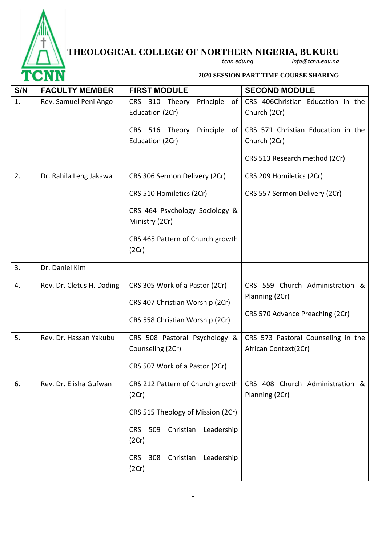

## **THEOLOGICAL COLLEGE OF NORTHERN NIGERIA, BUKURU**

*tcnn.edu.ng info@tcnn.edu.ng*

**2020 SESSION PART TIME COURSE SHARING**

| S/N | <b>FACULTY MEMBER</b>     | <b>FIRST MODULE</b>                                   | <b>SECOND MODULE</b>                               |
|-----|---------------------------|-------------------------------------------------------|----------------------------------------------------|
| 1.  | Rev. Samuel Peni Ango     | CRS 310 Theory<br>Principle of<br>Education (2Cr)     | CRS 406Christian Education in the<br>Church (2Cr)  |
|     |                           | CRS 516 Theory Principle of<br>Education (2Cr)        | CRS 571 Christian Education in the<br>Church (2Cr) |
|     |                           |                                                       | CRS 513 Research method (2Cr)                      |
| 2.  | Dr. Rahila Leng Jakawa    | CRS 306 Sermon Delivery (2Cr)                         | CRS 209 Homiletics (2Cr)                           |
|     |                           | CRS 510 Homiletics (2Cr)                              | CRS 557 Sermon Delivery (2Cr)                      |
|     |                           | CRS 464 Psychology Sociology &<br>Ministry (2Cr)      |                                                    |
|     |                           | CRS 465 Pattern of Church growth<br>(2Cr)             |                                                    |
| 3.  | Dr. Daniel Kim            |                                                       |                                                    |
| 4.  | Rev. Dr. Cletus H. Dading | CRS 305 Work of a Pastor (2Cr)                        | CRS 559 Church Administration &<br>Planning (2Cr)  |
|     |                           | CRS 407 Christian Worship (2Cr)                       |                                                    |
|     |                           | CRS 558 Christian Worship (2Cr)                       | CRS 570 Advance Preaching (2Cr)                    |
| 5.  | Rev. Dr. Hassan Yakubu    | CRS 508 Pastoral Psychology &                         | CRS 573 Pastoral Counseling in the                 |
|     |                           | Counseling (2Cr)                                      | African Context(2Cr)                               |
|     |                           | CRS 507 Work of a Pastor (2Cr)                        |                                                    |
| 6.  | Rev. Dr. Elisha Gufwan    | CRS 212 Pattern of Church growth<br>(2Cr)             | CRS 408 Church Administration &<br>Planning (2Cr)  |
|     |                           | CRS 515 Theology of Mission (2Cr)                     |                                                    |
|     |                           | 509<br>Christian<br>Leadership<br><b>CRS</b><br>(2Cr) |                                                    |
|     |                           | Christian Leadership<br>308<br>CRS<br>(2Cr)           |                                                    |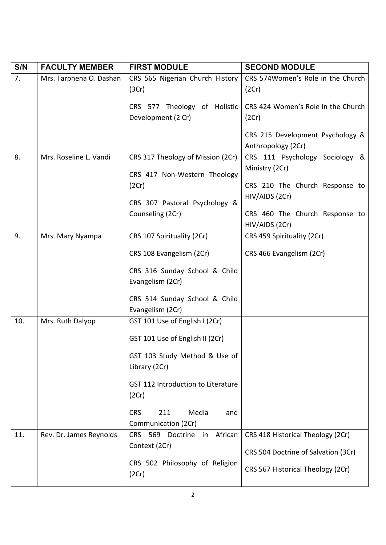| S/N | <b>FACULTY MEMBER</b>   | <b>FIRST MODULE</b>                                               | <b>SECOND MODULE</b>                                   |
|-----|-------------------------|-------------------------------------------------------------------|--------------------------------------------------------|
| 7.  | Mrs. Tarphena O. Dashan | CRS 565 Nigerian Church History<br>(3Cr)                          | CRS 574Women's Role in the Church<br>(2Cr)             |
|     |                         | CRS 577 Theology of Holistic<br>Development (2 Cr)                | CRS 424 Women's Role in the Church<br>(2Cr)            |
|     |                         |                                                                   | CRS 215 Development Psychology &<br>Anthropology (2Cr) |
| 8.  | Mrs. Roseline L. Vandi  | CRS 317 Theology of Mission (2Cr)<br>CRS 417 Non-Western Theology | CRS 111 Psychology Sociology &<br>Ministry (2Cr)       |
|     |                         | (2Cr)                                                             | CRS 210 The Church Response to<br>HIV/AIDS (2Cr)       |
|     |                         | CRS 307 Pastoral Psychology &<br>Counseling (2Cr)                 | CRS 460 The Church Response to                         |
| 9.  | Mrs. Mary Nyampa        | CRS 107 Spirituality (2Cr)                                        | HIV/AIDS (2Cr)<br>CRS 459 Spirituality (2Cr)           |
|     |                         | CRS 108 Evangelism (2Cr)                                          | CRS 466 Evangelism (2Cr)                               |
|     |                         | CRS 316 Sunday School & Child<br>Evangelism (2Cr)                 |                                                        |
|     |                         | CRS 514 Sunday School & Child<br>Evangelism (2Cr)                 |                                                        |
| 10. | Mrs. Ruth Dalyop        | GST 101 Use of English I (2Cr)                                    |                                                        |
|     |                         | GST 101 Use of English II (2Cr)                                   |                                                        |
|     |                         | GST 103 Study Method & Use of<br>Library (2Cr)                    |                                                        |
|     |                         | GST 112 Introduction to Literature<br>(2Cr)                       |                                                        |
|     |                         | 211<br>Media<br><b>CRS</b><br>and<br>Communication (2Cr)          |                                                        |
| 11. | Rev. Dr. James Reynolds | African<br>569<br><b>CRS</b><br>Doctrine<br>in                    | CRS 418 Historical Theology (2Cr)                      |
|     |                         | Context (2Cr)                                                     | CRS 504 Doctrine of Salvation (3Cr)                    |
|     |                         | CRS 502 Philosophy of Religion<br>(2Cr)                           | CRS 567 Historical Theology (2Cr)                      |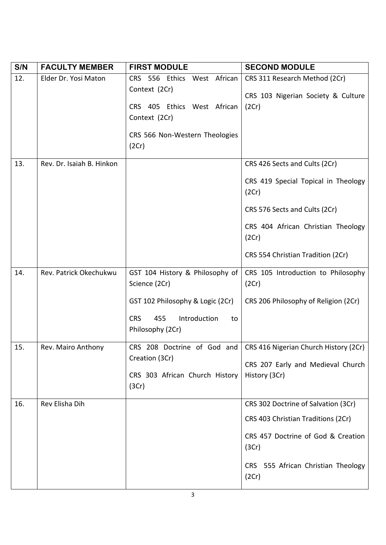| S/N | <b>FACULTY MEMBER</b>     | <b>FIRST MODULE</b>                                         | <b>SECOND MODULE</b>                                                |
|-----|---------------------------|-------------------------------------------------------------|---------------------------------------------------------------------|
| 12. | Elder Dr. Yosi Maton      | CRS 556 Ethics West African<br>Context (2Cr)                | CRS 311 Research Method (2Cr)<br>CRS 103 Nigerian Society & Culture |
|     |                           | CRS 405 Ethics West African<br>Context (2Cr)                | (2Cr)                                                               |
|     |                           | CRS 566 Non-Western Theologies<br>(2Cr)                     |                                                                     |
| 13. | Rev. Dr. Isaiah B. Hinkon |                                                             | CRS 426 Sects and Cults (2Cr)                                       |
|     |                           |                                                             | CRS 419 Special Topical in Theology<br>(2Cr)                        |
|     |                           |                                                             | CRS 576 Sects and Cults (2Cr)                                       |
|     |                           |                                                             | CRS 404 African Christian Theology<br>(2Cr)                         |
|     |                           |                                                             | CRS 554 Christian Tradition (2Cr)                                   |
| 14. | Rev. Patrick Okechukwu    | GST 104 History & Philosophy of<br>Science (2Cr)            | CRS 105 Introduction to Philosophy<br>(2Cr)                         |
|     |                           | GST 102 Philosophy & Logic (2Cr)                            | CRS 206 Philosophy of Religion (2Cr)                                |
|     |                           | <b>CRS</b><br>Introduction<br>455<br>to<br>Philosophy (2Cr) |                                                                     |
| 15. | Rev. Mairo Anthony        |                                                             | CRS 208 Doctrine of God and   CRS 416 Nigerian Church History (2Cr) |
|     |                           | Creation (3Cr)                                              | CRS 207 Early and Medieval Church                                   |
|     |                           | CRS 303 African Church History<br>(3Cr)                     | History (3Cr)                                                       |
| 16. | Rev Elisha Dih            |                                                             | CRS 302 Doctrine of Salvation (3Cr)                                 |
|     |                           |                                                             | CRS 403 Christian Traditions (2Cr)                                  |
|     |                           |                                                             | CRS 457 Doctrine of God & Creation<br>(3Cr)                         |
|     |                           |                                                             | CRS 555 African Christian Theology<br>(2Cr)                         |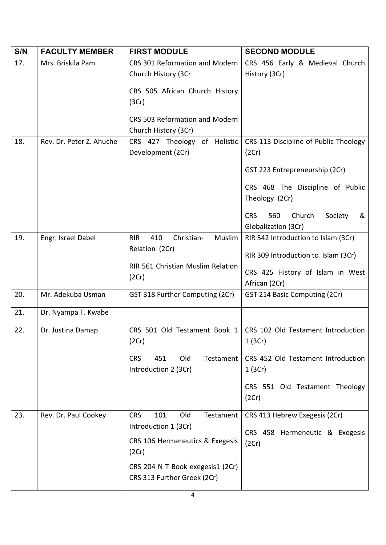| S/N | <b>FACULTY MEMBER</b>    | <b>FIRST MODULE</b>                       | <b>SECOND MODULE</b>                        |
|-----|--------------------------|-------------------------------------------|---------------------------------------------|
| 17. | Mrs. Briskila Pam        | CRS 301 Reformation and Modern            | CRS 456 Early & Medieval Church             |
|     |                          | Church History (3Cr                       | History (3Cr)                               |
|     |                          | CRS 505 African Church History            |                                             |
|     |                          | (3Cr)                                     |                                             |
|     |                          | CRS 503 Reformation and Modern            |                                             |
|     |                          | Church History (3Cr)                      |                                             |
| 18. | Rev. Dr. Peter Z. Ahuche | CRS 427 Theology<br>of Holistic           | CRS 113 Discipline of Public Theology       |
|     |                          | Development (2Cr)                         | (2Cr)                                       |
|     |                          |                                           | GST 223 Entrepreneurship (2Cr)              |
|     |                          |                                           | CRS 468 The Discipline of Public            |
|     |                          |                                           | Theology (2Cr)                              |
|     |                          |                                           | Church<br><b>CRS</b><br>560<br>Society<br>& |
|     |                          |                                           | Globalization (3Cr)                         |
| 19. | Engr. Israel Dabel       | 410<br>Christian-<br>Muslim<br><b>RIR</b> | RIR 542 Introduction to Islam (3Cr)         |
|     |                          | Relation (2Cr)                            | RIR 309 Introduction to Islam (3Cr)         |
|     |                          | RIR 561 Christian Muslim Relation         | CRS 425 History of Islam in West            |
|     |                          | (2Cr)                                     | African (2Cr)                               |
| 20. | Mr. Adekuba Usman        | GST 318 Further Computing (2Cr)           | GST 214 Basic Computing (2Cr)               |
| 21. | Dr. Nyampa T. Kwabe      |                                           |                                             |
| 22. | Dr. Justina Damap        | CRS 501 Old Testament Book 1              | CRS 102 Old Testament Introduction          |
|     |                          | (2Cr)                                     | 1(3Cr)                                      |
|     |                          | 451<br>Old<br>Testament<br><b>CRS</b>     | CRS 452 Old Testament Introduction          |
|     |                          | Introduction 2 (3Cr)                      | 1(3Cr)                                      |
|     |                          |                                           | CRS 551 Old Testament Theology              |
|     |                          |                                           | (2Cr)                                       |
| 23. | Rev. Dr. Paul Cookey     | <b>CRS</b><br>101<br>Old<br>Testament     | CRS 413 Hebrew Exegesis (2Cr)               |
|     |                          | Introduction 1 (3Cr)                      | CRS 458 Hermeneutic & Exegesis              |
|     |                          | CRS 106 Hermeneutics & Exegesis<br>(2Cr)  | (2Cr)                                       |
|     |                          | CRS 204 N T Book exegesis1 (2Cr)          |                                             |
|     |                          | CRS 313 Further Greek (2Cr)               |                                             |